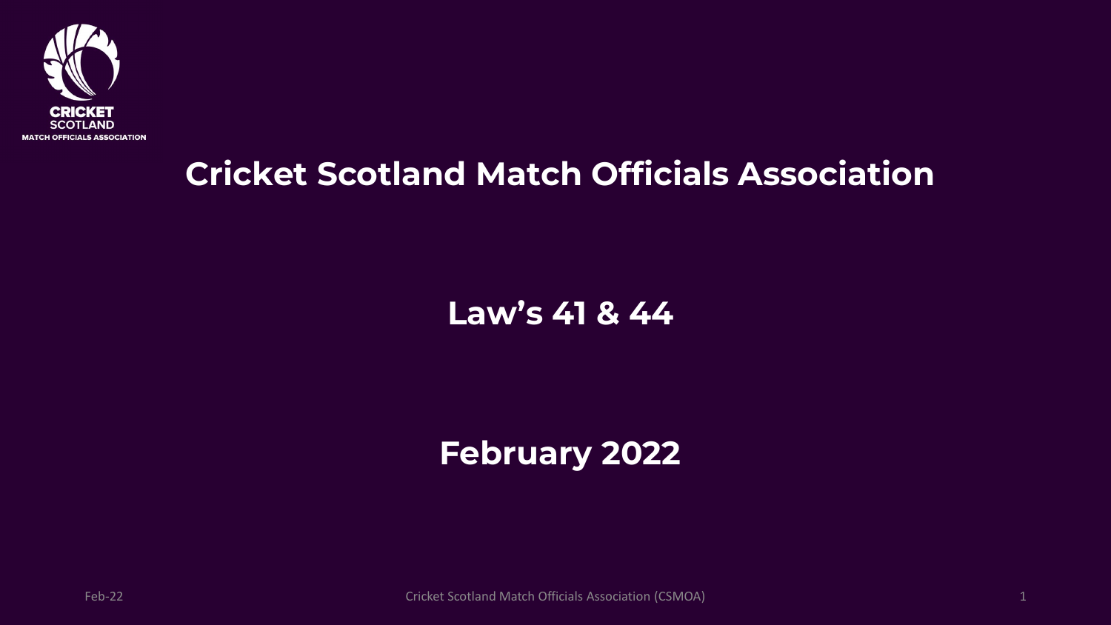

#### **Cricket Scotland Match Officials Association**

#### **Law's 41 & 44**

#### **February 2022**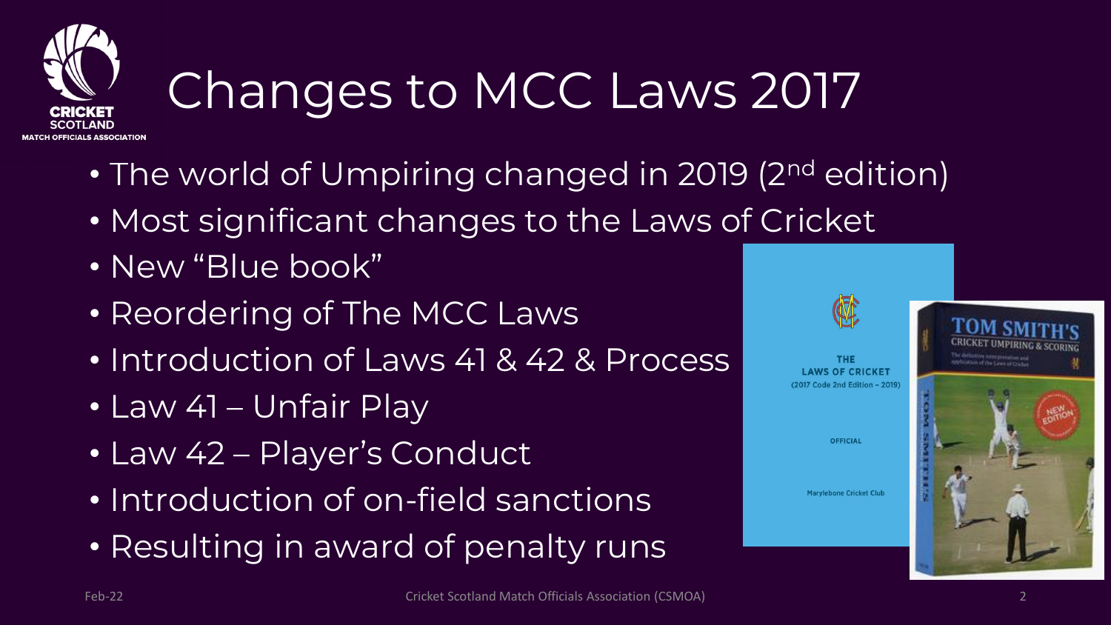

# Changes to MCC Laws 2017

- The world of Umpiring changed in 2019 (2<sup>nd</sup> edition)
- Most significant changes to the Laws of Cricket
- New "Blue book"
- Reordering of The MCC Laws
- Introduction of Laws 41 & 42 & Process
- Law 41 Unfair Play
- Law 42 Player's Conduct
- Introduction of on-field sanctions
- Resulting in award of penalty runs

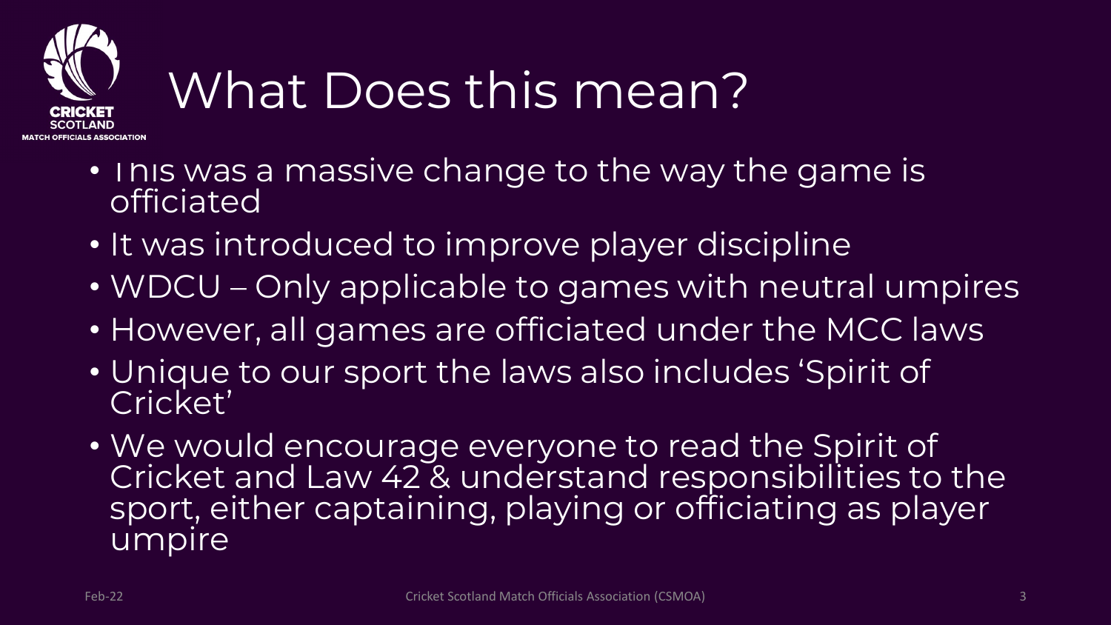

## What Does this mean?

- I his was a massive change to the way the game is **officiated**
- It was introduced to improve player discipline
- WDCU Only applicable to games with neutral umpires
- However, all games are officiated under the MCC laws
- Unique to our sport the laws also includes 'Spirit of Cricket'
- We would encourage everyone to read the Spirit of Cricket and Law 42 & understand responsibilities to the sport, either captaining, playing or officiating as player umpire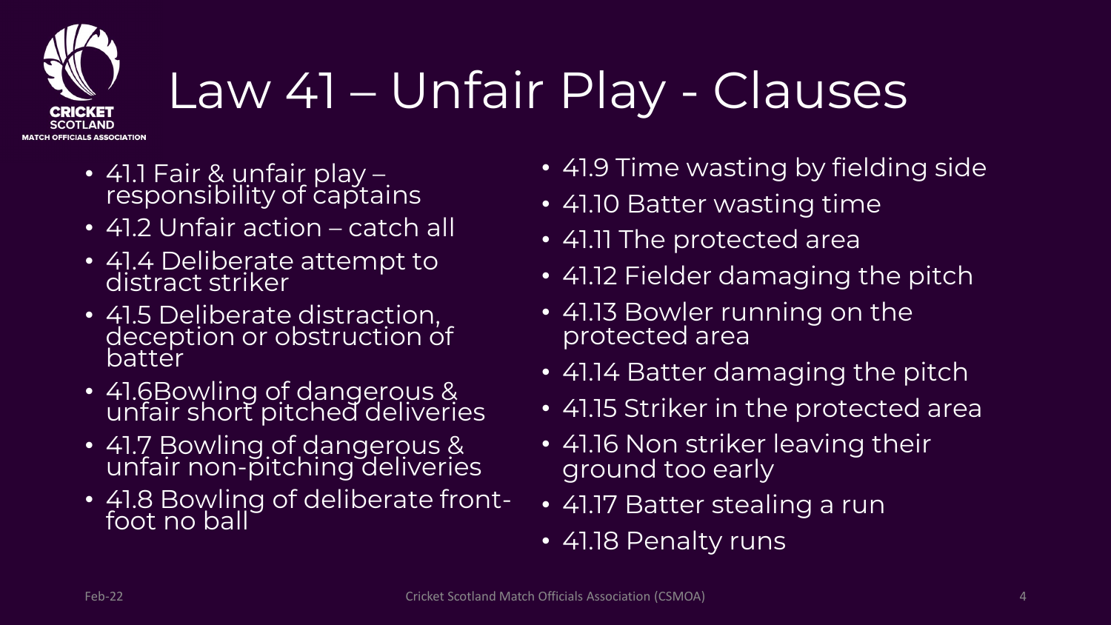

## Law 41 – Unfair Play - Clauses

- 41.1 Fair & unfair play responsibility of captains
- 41.2 Unfair action catch all
- 41.4 Deliberate attempt to distract striker
- 41.5 Deliberate distraction, deception or obstruction of batter
- 41.6Bowling of dangerous & unfair short pitched deliveries
- 41.7 Bowling of dangerous & unfair non-pitching deliveries
- 41.8 Bowling of deliberate frontfoot no ball
- 41.9 Time wasting by fielding side
- 41.10 Batter wasting time
- 41.11 The protected area
- 41.12 Fielder damaging the pitch
- 41.13 Bowler running on the protected area
- 41.14 Batter damaging the pitch
- 41.15 Striker in the protected area
- 41.16 Non striker leaving their ground too early
- 41.17 Batter stealing a run
- 41.18 Penalty runs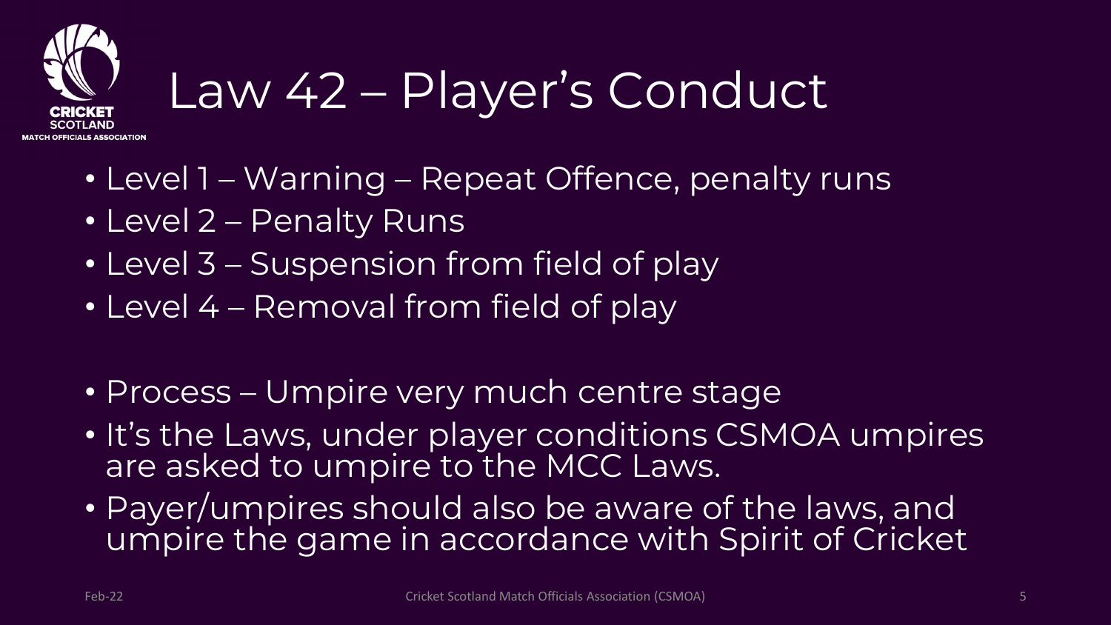

## Law 42 – Player's Conduct

- Level 1 Warning Repeat Offence, penalty runs
- Level 2 Penalty Runs
- Level 3 Suspension from field of play
- Level 4 Removal from field of play
- Process Umpire very much centre stage
- It's the Laws, under player conditions CSMOA umpires are asked to umpire to the MCC Laws.
- Payer/umpires should also be aware of the laws, and umpire the game in accordance with Spirit of Cricket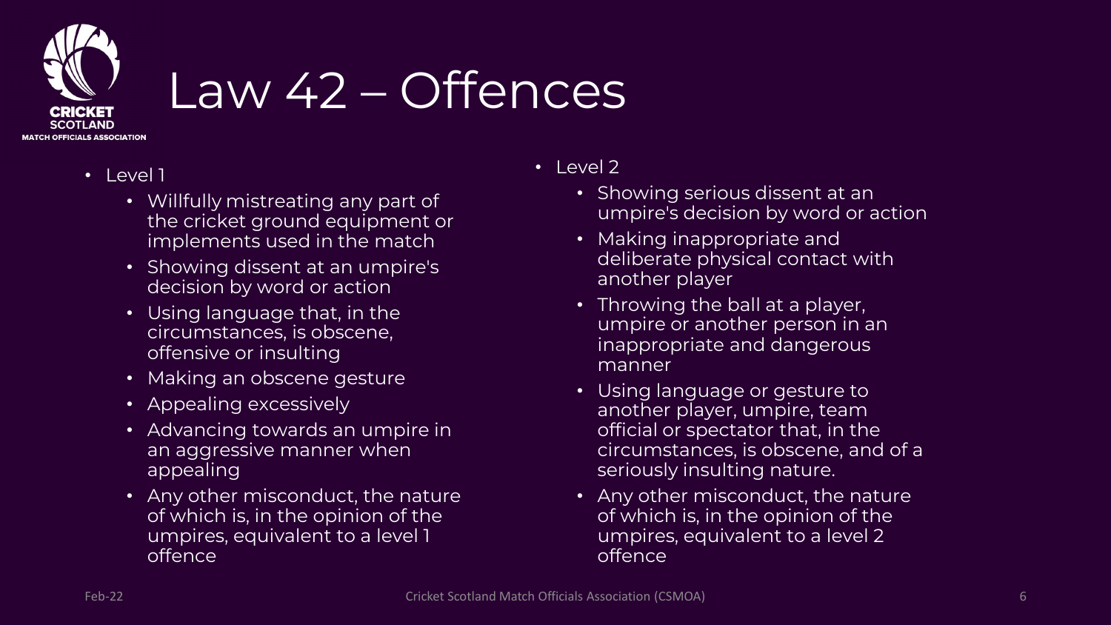

## Law 42 – Offences

- Level 1
	- Willfully mistreating any part of the cricket ground equipment or implements used in the match
	- Showing dissent at an umpire's decision by word or action
	- Using language that, in the circumstances, is obscene, offensive or insulting
	- Making an obscene gesture
	- Appealing excessively
	- Advancing towards an umpire in an aggressive manner when appealing
	- Any other misconduct, the nature of which is, in the opinion of the umpires, equivalent to a level 1 offence
- Level 2
	- Showing serious dissent at an umpire's decision by word or action
	- Making inappropriate and deliberate physical contact with another player
	- Throwing the ball at a player, umpire or another person in an inappropriate and dangerous manner
	- Using language or gesture to another player, umpire, team official or spectator that, in the circumstances, is obscene, and of a seriously insulting nature.
	- Any other misconduct, the nature of which is, in the opinion of the umpires, equivalent to a level 2 offence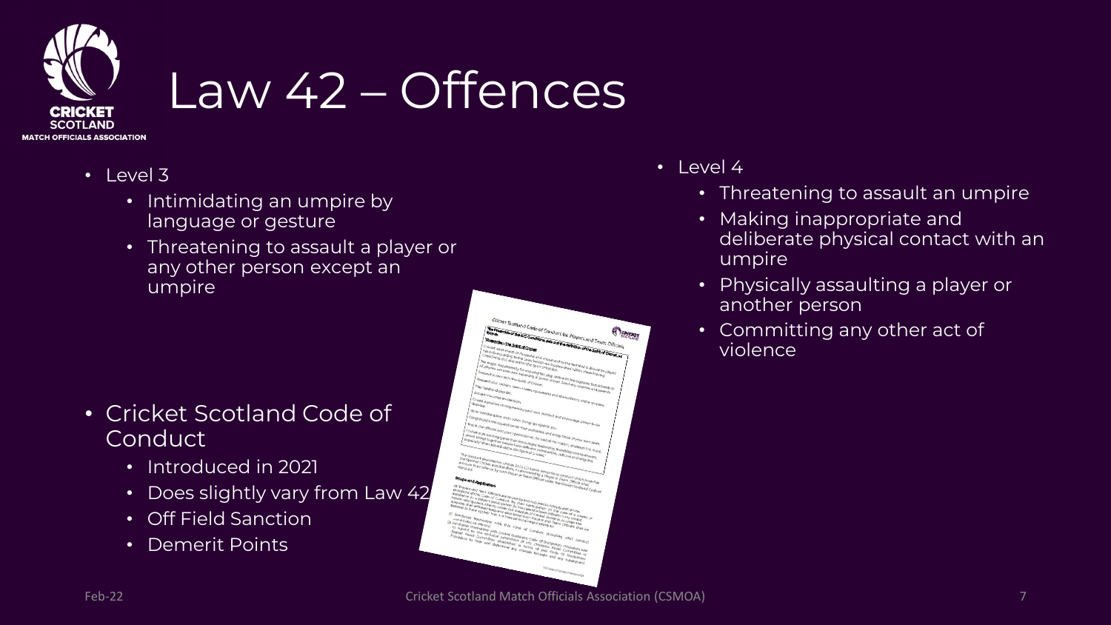

## Law 42 – Offences

- $\cdot$  Level 3
	- Intimidating an umpire by language or gesture
	- Threatening to assault a player or any other person except an umpire

- Cricket Scotland Code of **Conduct** 
	- Introduced in 2021
	- Does slightly vary from Law 42
	- Off Field Sanction
	- Demerit Points



- Level 4
	- Threatening to assault an umpire
	- Making inappropriate and deliberate physical contact with an umpire
	- Physically assaulting a player or another person
	- Committing any other act of violence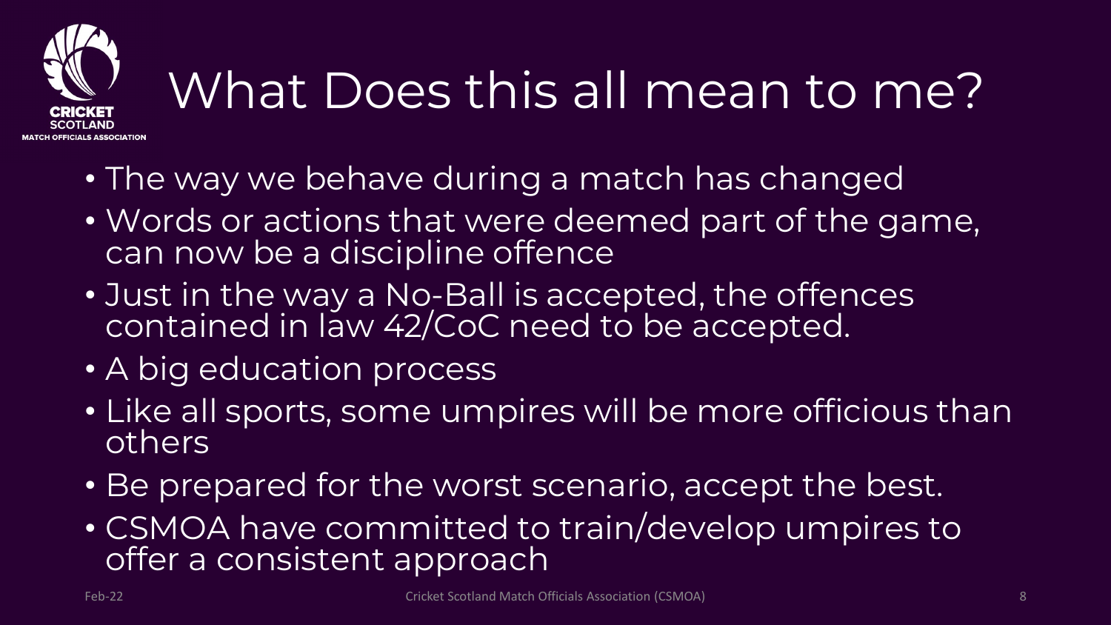

# What Does this all mean to me?

- The way we behave during a match has changed
- Words or actions that were deemed part of the game, can now be a discipline offence
- Just in the way a No-Ball is accepted, the offences contained in law 42/CoC need to be accepted.
- A big education process
- Like all sports, some umpires will be more officious than others
- Be prepared for the worst scenario, accept the best.
- CSMOA have committed to train/develop umpires to offer a consistent approach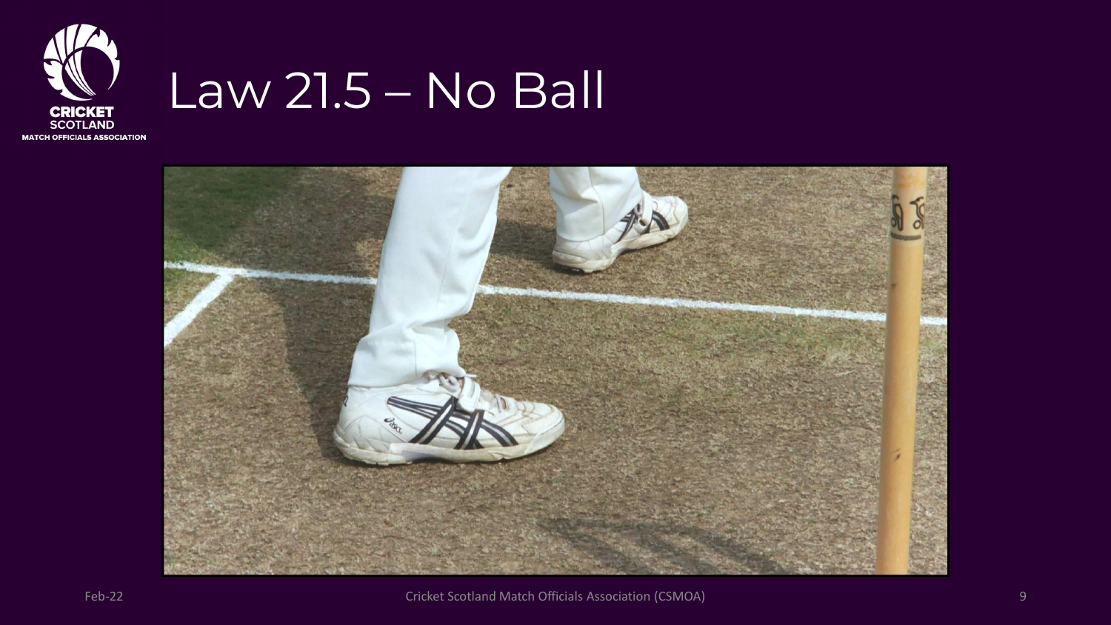

### Law 21.5 – No Ball

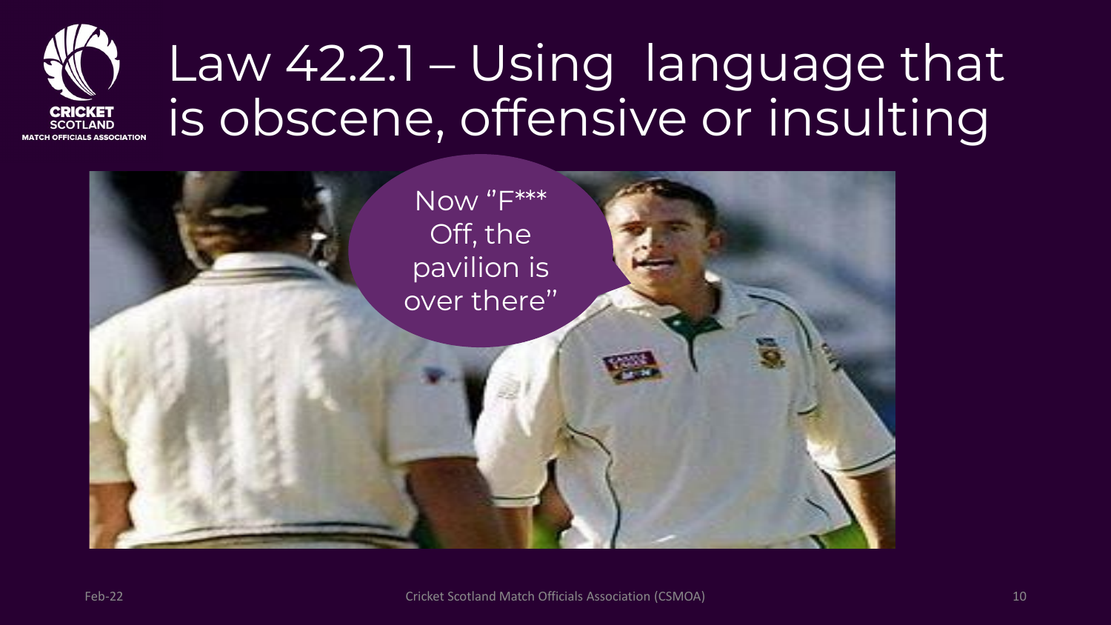## Law 42.2.1 – Using language that is obscene, offensive or insulting